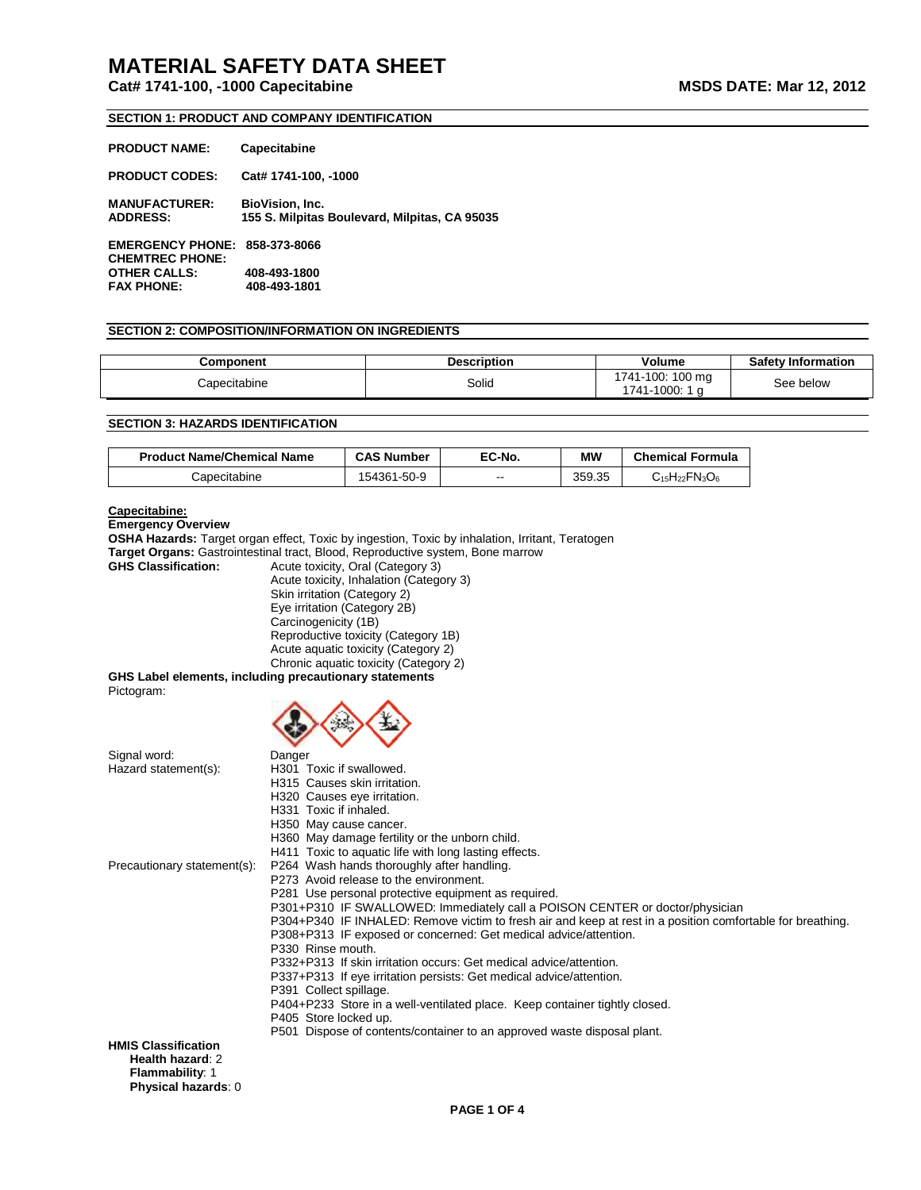## **SECTION 1: PRODUCT AND COMPANY IDENTIFICATION**

| <b>PRODUCT NAME:</b>                              | Capecitabine                                                     |
|---------------------------------------------------|------------------------------------------------------------------|
| <b>PRODUCT CODES:</b>                             | Cat# 1741-100, -1000                                             |
| <b>MANUFACTURER:</b><br><b>ADDRESS:</b>           | BioVision, Inc.<br>155 S. Milpitas Boulevard, Milpitas, CA 95035 |
| <b>EMERGENCY PHONE:</b><br><b>CHEMTREC PHONE:</b> | 858-373-8066                                                     |
| <b>OTHER CALLS:</b>                               | 408-493-1800                                                     |
| <b>FAX PHONE:</b>                                 | 408-493-1801                                                     |

#### **SECTION 2: COMPOSITION/INFORMATION ON INGREDIENTS**

| Component    | <b>Description</b> | Volume                              | <b>Safety Information</b> |
|--------------|--------------------|-------------------------------------|---------------------------|
| Capecitabine | Solid              | 1741-100: 100 ma<br>-1000:<br>'741- | See below                 |

## **SECTION 3: HAZARDS IDENTIFICATION**

| <b>Product Name/Chemical Name</b> | <b>CAS Number</b> | EC-No. | МW     | <b>Chemical Formula</b>                                                                                    |
|-----------------------------------|-------------------|--------|--------|------------------------------------------------------------------------------------------------------------|
| Capecitabine                      | 154361-50-9       | $- -$  | 359.35 | $\mathsf{C}_{\mathsf{15}}\mathsf{H}_{\mathsf{22}}\mathsf{F}\mathsf{N}_{\mathsf{3}}\mathsf{O}_{\mathsf{6}}$ |

## **Capecitabine:**

**Emergency Overview**

**OSHA Hazards:** Target organ effect, Toxic by ingestion, Toxic by inhalation, Irritant, Teratogen **Target Organs:** Gastrointestinal tract, Blood, Reproductive system, Bone marrow

**GHS Classification:** Acute toxicity, Oral (Category 3) Acute toxicity, Inhalation (Category 3) Skin irritation (Category 2) Eye irritation (Category 2B) Carcinogenicity (1B) Reproductive toxicity (Category 1B) Acute aquatic toxicity (Category 2) Chronic aquatic toxicity (Category 2)

**GHS Label elements, including precautionary statements** Pictogram:  $\wedge \wedge \wedge$ 

|                             | ر چې<br>- 72                                                                                               |
|-----------------------------|------------------------------------------------------------------------------------------------------------|
| Signal word:                | Danger                                                                                                     |
| Hazard statement(s):        | H301 Toxic if swallowed.                                                                                   |
|                             | H315 Causes skin irritation.                                                                               |
|                             | H320 Causes eye irritation.                                                                                |
|                             | H331 Toxic if inhaled.                                                                                     |
|                             | H350 May cause cancer.                                                                                     |
|                             | H360 May damage fertility or the unborn child.                                                             |
|                             | H411 Toxic to aquatic life with long lasting effects.                                                      |
| Precautionary statement(s): | P264 Wash hands thoroughly after handling.                                                                 |
|                             | P273 Avoid release to the environment.                                                                     |
|                             | P281 Use personal protective equipment as required.                                                        |
|                             | P301+P310 IF SWALLOWED: Immediately call a POISON CENTER or doctor/physician                               |
|                             | P304+P340 IF INHALED: Remove victim to fresh air and keep at rest in a position comfortable for breathing. |
|                             | P308+P313 IF exposed or concerned: Get medical advice/attention.<br>P330 Rinse mouth.                      |
|                             | P332+P313 If skin irritation occurs: Get medical advice/attention.                                         |
|                             | P337+P313 If eye irritation persists: Get medical advice/attention.                                        |
|                             | P391 Collect spillage.                                                                                     |
|                             | P404+P233 Store in a well-ventilated place. Keep container tightly closed.                                 |
|                             | P405 Store locked up.                                                                                      |
|                             | P501 Dispose of contents/container to an approved waste disposal plant.                                    |
| <b>HMIS Classification</b>  |                                                                                                            |
| Health hazard: 2            |                                                                                                            |
| <b>Flammability: 1</b>      |                                                                                                            |
| Physical hazards: 0         |                                                                                                            |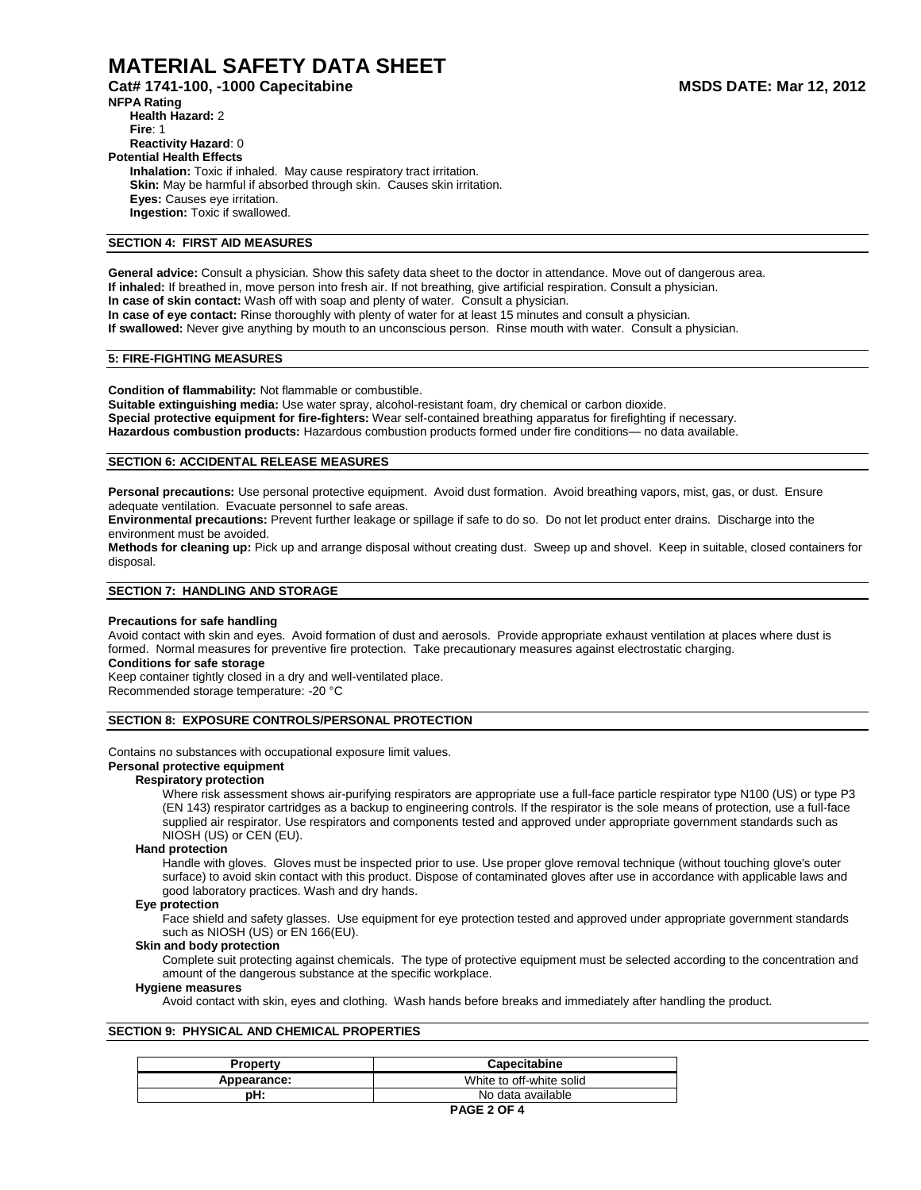**Cat# 1741-100, -1000 Capecitabine MSDS DATE: Mar 12, 2012** 

**NFPA Rating Health Hazard:** 2 **Fire**: 1 **Reactivity Hazard**: 0 **Potential Health Effects Inhalation:** Toxic if inhaled. May cause respiratory tract irritation. **Skin:** May be harmful if absorbed through skin. Causes skin irritation. **Eyes:** Causes eye irritation. **Ingestion:** Toxic if swallowed.

## **SECTION 4: FIRST AID MEASURES**

**General advice:** Consult a physician. Show this safety data sheet to the doctor in attendance. Move out of dangerous area. **If inhaled:** If breathed in, move person into fresh air. If not breathing, give artificial respiration. Consult a physician. **In case of skin contact:** Wash off with soap and plenty of water. Consult a physician. **In case of eye contact:** Rinse thoroughly with plenty of water for at least 15 minutes and consult a physician. **If swallowed:** Never give anything by mouth to an unconscious person. Rinse mouth with water. Consult a physician.

## **5: FIRE-FIGHTING MEASURES**

**Condition of flammability:** Not flammable or combustible.

**Suitable extinguishing media:** Use water spray, alcohol-resistant foam, dry chemical or carbon dioxide. **Special protective equipment for fire-fighters:** Wear self-contained breathing apparatus for firefighting if necessary. **Hazardous combustion products:** Hazardous combustion products formed under fire conditions— no data available.

## **SECTION 6: ACCIDENTAL RELEASE MEASURES**

**Personal precautions:** Use personal protective equipment. Avoid dust formation. Avoid breathing vapors, mist, gas, or dust. Ensure adequate ventilation. Evacuate personnel to safe areas.

**Environmental precautions:** Prevent further leakage or spillage if safe to do so. Do not let product enter drains. Discharge into the environment must be avoided.

**Methods for cleaning up:** Pick up and arrange disposal without creating dust. Sweep up and shovel. Keep in suitable, closed containers for disposal.

#### **SECTION 7: HANDLING AND STORAGE**

#### **Precautions for safe handling**

Avoid contact with skin and eyes. Avoid formation of dust and aerosols. Provide appropriate exhaust ventilation at places where dust is formed. Normal measures for preventive fire protection. Take precautionary measures against electrostatic charging.

## **Conditions for safe storage**

Keep container tightly closed in a dry and well-ventilated place. Recommended storage temperature: -20 °C

#### **SECTION 8: EXPOSURE CONTROLS/PERSONAL PROTECTION**

Contains no substances with occupational exposure limit values.

## **Personal protective equipment**

## **Respiratory protection**

Where risk assessment shows air-purifying respirators are appropriate use a full-face particle respirator type N100 (US) or type P3 (EN 143) respirator cartridges as a backup to engineering controls. If the respirator is the sole means of protection, use a full-face supplied air respirator. Use respirators and components tested and approved under appropriate government standards such as NIOSH (US) or CEN (EU).

#### **Hand protection**

Handle with gloves. Gloves must be inspected prior to use. Use proper glove removal technique (without touching glove's outer surface) to avoid skin contact with this product. Dispose of contaminated gloves after use in accordance with applicable laws and good laboratory practices. Wash and dry hands.

#### **Eye protection**

Face shield and safety glasses. Use equipment for eye protection tested and approved under appropriate government standards such as NIOSH (US) or EN 166(EU).

#### **Skin and body protection**

Complete suit protecting against chemicals. The type of protective equipment must be selected according to the concentration and amount of the dangerous substance at the specific workplace.

#### **Hygiene measures**

Avoid contact with skin, eyes and clothing. Wash hands before breaks and immediately after handling the product.

#### **SECTION 9: PHYSICAL AND CHEMICAL PROPERTIES**

| <b>Property</b> | <b>Capecitabine</b>      |
|-----------------|--------------------------|
| Appearance:     | White to off-white solid |
| pH:             | No data available        |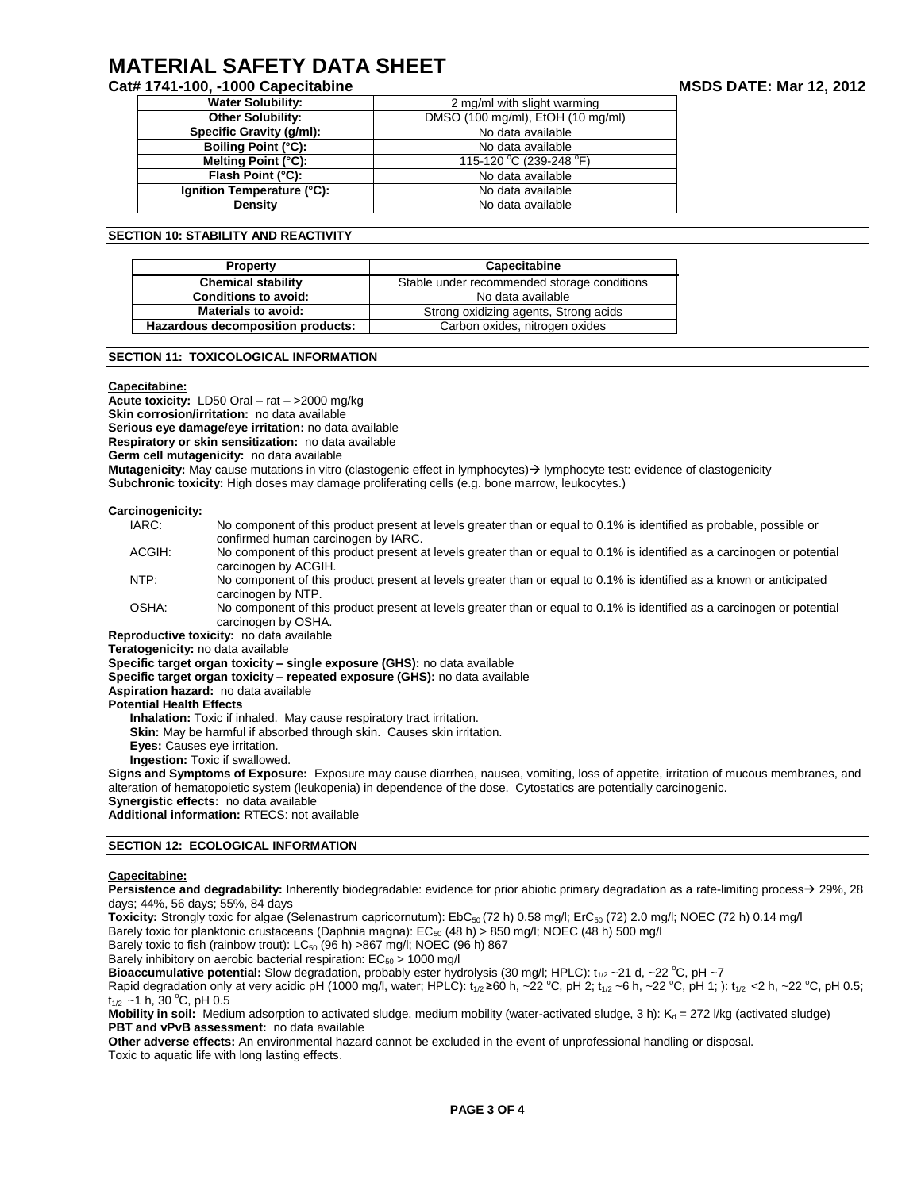## **Cat# 1741-100, -1000 Capecitabine MSDS DATE: Mar 12, 2012**

| <b>Water Solubility:</b>   | 2 mg/ml with slight warming       |  |
|----------------------------|-----------------------------------|--|
| <b>Other Solubility:</b>   | DMSO (100 mg/ml), EtOH (10 mg/ml) |  |
| Specific Gravity (g/ml):   | No data available                 |  |
| <b>Boiling Point (°C):</b> | No data available                 |  |
| Melting Point (°C):        | 115-120 °C (239-248 °F)           |  |
| Flash Point (°C):          | No data available                 |  |
| Ignition Temperature (°C): | No data available                 |  |
| Density                    | No data available                 |  |

#### **SECTION 10: STABILITY AND REACTIVITY**

| <b>Property</b>                   | Capecitabine                                |  |
|-----------------------------------|---------------------------------------------|--|
| <b>Chemical stability</b>         | Stable under recommended storage conditions |  |
| <b>Conditions to avoid:</b>       | No data available                           |  |
| <b>Materials to avoid:</b>        | Strong oxidizing agents, Strong acids       |  |
| Hazardous decomposition products: | Carbon oxides, nitrogen oxides              |  |

## **SECTION 11: TOXICOLOGICAL INFORMATION**

#### **Capecitabine:**

**Acute toxicity:** LD50 Oral – rat – >2000 mg/kg **Skin corrosion/irritation:** no data available **Serious eye damage/eye irritation:** no data available **Respiratory or skin sensitization:** no data available **Germ cell mutagenicity:** no data available **Mutagenicity:** May cause mutations in vitro (clastogenic effect in lymphocytes) > lymphocyte test: evidence of clastogenicity **Subchronic toxicity:** High doses may damage proliferating cells (e.g. bone marrow, leukocytes.)

#### **Carcinogenicity:**

| IARC:  | No component of this product present at levels greater than or equal to 0.1% is identified as probable, possible or     |
|--------|-------------------------------------------------------------------------------------------------------------------------|
|        | confirmed human carcinogen by IARC.                                                                                     |
| ACGIH: | No component of this product present at levels greater than or equal to 0.1% is identified as a carcinogen or potential |
|        | carcinogen by ACGIH.                                                                                                    |
| NTP:   | No component of this product present at levels greater than or equal to 0.1% is identified as a known or anticipated    |
|        | carcinogen by NTP.                                                                                                      |
| OSHA.  | No component of this product present at levels greater than or equal to 0.1% is identified as a carcinogen or potential |

; product present at levels greater than or equal to 0.1% is identified as a carcinogen or poten carcinogen by OSHA.

**Reproductive toxicity:** no data available

**Teratogenicity:** no data available

**Specific target organ toxicity – single exposure (GHS):** no data available

**Specific target organ toxicity – repeated exposure (GHS):** no data available

**Aspiration hazard:** no data available

**Potential Health Effects**

**Inhalation:** Toxic if inhaled. May cause respiratory tract irritation.

**Skin:** May be harmful if absorbed through skin. Causes skin irritation.

**Eyes:** Causes eye irritation.

**Ingestion:** Toxic if swallowed.

**Signs and Symptoms of Exposure:** Exposure may cause diarrhea, nausea, vomiting, loss of appetite, irritation of mucous membranes, and alteration of hematopoietic system (leukopenia) in dependence of the dose. Cytostatics are potentially carcinogenic. **Synergistic effects:** no data available

**Additional information:** RTECS: not available

#### **SECTION 12: ECOLOGICAL INFORMATION**

#### **Capecitabine:**

**Persistence and degradability:** Inherently biodegradable: evidence for prior abiotic primary degradation as a rate-limiting process  $\rightarrow$  29%, 28 days; 44%, 56 days; 55%, 84 days

Toxicity: Strongly toxic for algae (Selenastrum capricornutum): EbC<sub>50</sub> (72 h) 0.58 mg/l; ErC<sub>50</sub> (72) 2.0 mg/l; NOEC (72 h) 0.14 mg/l

Barely toxic for planktonic crustaceans (Daphnia magna): EC<sub>50</sub> (48 h) > 850 mg/l; NOEC (48 h) 500 mg/l

Barely toxic to fish (rainbow trout):  $LC_{50}$  (96 h) >867 mg/l; NOEC (96 h) 867

Barely inhibitory on aerobic bacterial respiration:  $EC_{50} > 1000$  mg/l

**Bioaccumulative potential:** Slow degradation, probably ester hydrolysis (30 mg/l; HPLC):  $t_{1/2} \sim 21$  d,  $\sim$  22 °C, pH  $\sim$ 7

Rapid degradation only at very acidic pH (1000 mg/l, water; HPLC):  $t_{1/2} \ge 60$  h, ~22 °C, pH 2;  $t_{1/2}$  ~6 h, ~22 °C, pH 1; ):  $t_{1/2}$  <2 h, ~22 °C, pH 0.5;  $t_{1/2}$  ~1 h, 30 °C, pH 0.5

Mobility in soil: Medium adsorption to activated sludge, medium mobility (water-activated sludge, 3 h): K<sub>d</sub> = 272 l/kg (activated sludge) **PBT and vPvB assessment:** no data available

**Other adverse effects:** An environmental hazard cannot be excluded in the event of unprofessional handling or disposal. Toxic to aquatic life with long lasting effects.